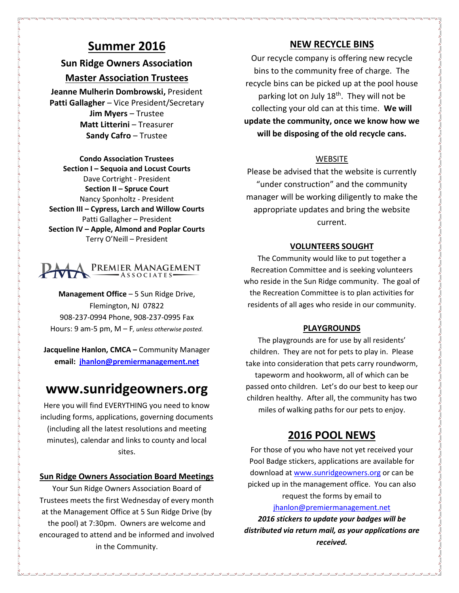# **Summer 2016**

# **Sun Ridge Owners Association**

## **Master Association Trustees**

**Jeanne Mulherin Dombrowski,** President **Patti Gallagher** – Vice President/Secretary **Jim Myers** – Trustee **Matt Litterini** – Treasurer **Sandy Cafro** – Trustee

**Condo Association Trustees Section I – Sequoia and Locust Courts** Dave Cortright - President **Section II – Spruce Court** Nancy Sponholtz - President **Section III – Cypress, Larch and Willow Courts** Patti Gallagher – President **Section IV – Apple, Almond and Poplar Courts** Terry O'Neill – President

### Premier Management  $-ASSOCIATES$

**Management Office** – 5 Sun Ridge Drive, Flemington, NJ 07822 908-237-0994 Phone, 908-237-0995 Fax Hours: 9 am-5 pm, M – F*, unless otherwise posted.*

**Jacqueline Hanlon, CMCA –** Community Manager **email: [jhanlon@premiermanagement.net](mailto:jhanlon@premiermanagement.net)**

# **www.sunridgeowners.org**

Here you will find EVERYTHING you need to know including forms, applications, governing documents (including all the latest resolutions and meeting minutes), calendar and links to county and local sites.

### **Sun Ridge Owners Association Board Meetings**

Your Sun Ridge Owners Association Board of Trustees meets the first Wednesday of every month at the Management Office at 5 Sun Ridge Drive (by the pool) at 7:30pm. Owners are welcome and encouraged to attend and be informed and involved in the Community.

# **NEW RECYCLE BINS**

Our recycle company is offering new recycle bins to the community free of charge. The recycle bins can be picked up at the pool house parking lot on July  $18<sup>th</sup>$ . They will not be collecting your old can at this time. **We will update the community, once we know how we will be disposing of the old recycle cans.**

## WEBSITE

Please be advised that the website is currently "under construction" and the community manager will be working diligently to make the appropriate updates and bring the website current.

## **VOLUNTEERS SOUGHT**

The Community would like to put together a Recreation Committee and is seeking volunteers who reside in the Sun Ridge community. The goal of the Recreation Committee is to plan activities for residents of all ages who reside in our community.

### **PLAYGROUNDS**

The playgrounds are for use by all residents' children. They are not for pets to play in. Please take into consideration that pets carry roundworm, tapeworm and hookworm, all of which can be passed onto children. Let's do our best to keep our children healthy. After all, the community has two miles of walking paths for our pets to enjoy.

# **2016 POOL NEWS**

For those of you who have not yet received your Pool Badge stickers, applications are available for download at [www.sunridgeowners.org](http://www.sunridgeowners.org/) or can be picked up in the management office. You can also request the forms by email to

[jhanlon@premiermanagement.net](mailto:jhanlon@premiermanagement.net)

*2016 stickers to update your badges will be distributed via return mail, as your applications are received.*